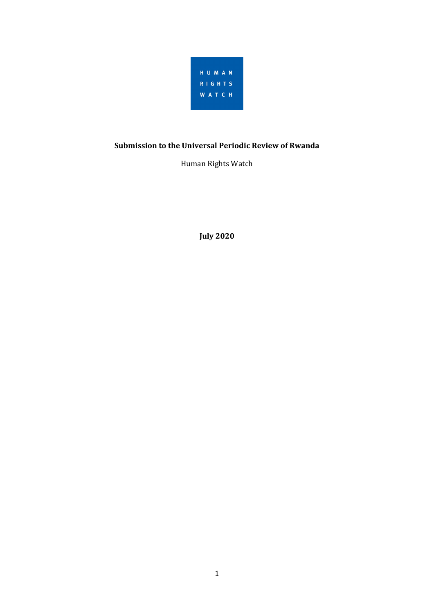

# **Submission to the Universal Periodic Review of Rwanda**

Human Rights Watch

**July 2020**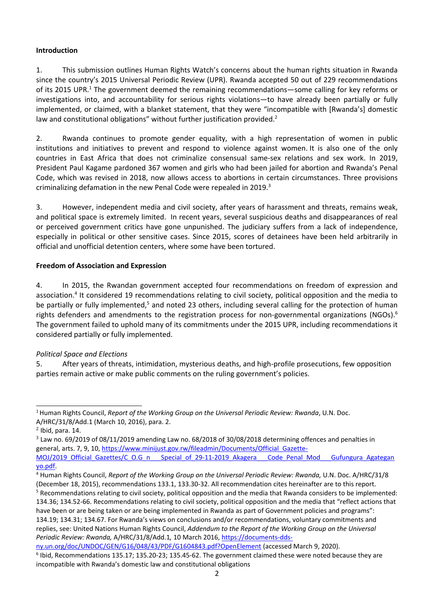### **Introduction**

1. This submission outlines Human Rights Watch'<sup>s</sup> concerns about the human rights situation in Rwanda since the country'<sup>s</sup> 2015 Universal Periodic Review (UPR). Rwanda accepted 50 out of 229 recommendations of its 2015 UPR.<sup>1</sup> The government deemed the remaining recommendations—some calling for key reforms or investigations into, and accountability for serious rights violations—to have already been partially or fully implemented, or claimed, with <sup>a</sup> blanket statement, that they were "incompatible with [Rwanda's] domestic law and constitutional obligations" without further justification provided.<sup>2</sup>

2. Rwanda continues to promote gender equality, with <sup>a</sup> high representation of women in public institutions and initiatives to prevent and respond to violence against women. It is also one of the only countries in East Africa that does not criminalize consensual same-sex relations and sex work. In 2019, President Paul Kagame pardoned 367 women and girls who had been jailed for abortion and Rwanda'<sup>s</sup> Penal Code, which was revised in 2018, now allows access to abortions in certain circumstances. Three provisions criminalizing defamation in the new Penal Code were repealed in 2019.<sup>3</sup>

3. However, independent media and civil society, after years of harassment and threats, remains weak, and political space is extremely limited. In recent years, several suspicious deaths and disappearances of real or perceived government critics have gone unpunished. The judiciary suffers from <sup>a</sup> lack of independence, especially in political or other sensitive cases. Since 2015, scores of detainees have been held arbitrarily in official and unofficial detention centers, where some have been tortured.

### **Freedom of Association and Expression**

4. In 2015, the Rwandan government accepted four recommendations on freedom of expression and association.<sup>4</sup> It considered 19 recommendations relating to civil society, political opposition and the media to be partially or fully implemented,<sup>5</sup> and noted 23 others, including several calling for the protection of human rights defenders and amendments to the registration process for non-governmental organizations (NGOs). 6 The government failed to uphold many of its commitments under the 2015 UPR, including recommendations it considered partially or fully implemented.

## *Political Space and Elections*

5. After years of threats, intimidation, mysterious deaths, and high-profile prosecutions, few opposition parties remain active or make public comments on the ruling government'<sup>s</sup> policies.

<sup>1</sup> Human Rights Council, *Report of the Working Group on the Universal Periodic Review: Rwanda*, U.N. Doc. A/HRC/31/8/Add.1 (March 10, 2016), para. 2.

 $<sup>2</sup>$  Ibid, para. 14.</sup>

<sup>&</sup>lt;sup>3</sup> Law no. 69/2019 of 08/11/2019 amending Law no. 68/2018 of 30/08/2018 determining offences and penalties in general, arts. 7, 9, 10, https://www.minijust.gov.rw/fileadmin/Documents/Official Gazette-MOJ/2019\_Official\_Gazettes/C\_O.G\_n \_\_Special\_of\_29-11-2019\_Akagera \_\_Code\_Penal\_Mod \_\_Gufungura\_Agategan [yo.pdf](https://www.minijust.gov.rw/fileadmin/Documents/Official_Gazette-MOJ/2019_Official_Gazettes/C_O.G_n___Special_of_29-11-2019_Akagera___Code_Penal_Mod___Gufungura_Agateganyo.pdf).

<sup>4</sup> Human Rights Council, *Report of the Working Group on the Universal Periodic Review: Rwanda,* U.N. Doc. A/HRC/31/8 (December 18, 2015), recommendations 133.1, 133.30-32. All recommendation cites hereinafter are to this report.

<sup>5</sup> Recommendations relating to civil society, political opposition and the media that Rwanda considers to be implemented: 134.36; 134.52-66. Recommendations relating to civil society, political opposition and the media that "reflect actions that have been or are being taken or are being implemented in Rwanda as part of Government policies and programs": 134.19; 134.31; 134.67. For Rwanda'<sup>s</sup> views on conclusions and/or recommendations, voluntary commitments and

replies, see: United Nations Human Rights Council, *Addendum to the Report of the Working Group on the Universal Periodic Review: Rwanda,* A/HRC/31/8/Add.1*,* 10 March 2016, [https://documents-dds-](https://documents-dds-ny.un.org/doc/UNDOC/GEN/G16/048/43/PDF/G1604843.pdf?OpenElement)

[ny.un.org/doc/UNDOC/GEN/G16/048/43/PDF/G1604843.pdf?OpenElement](https://documents-dds-ny.un.org/doc/UNDOC/GEN/G16/048/43/PDF/G1604843.pdf?OpenElement) (accessed March 9, 2020).

<sup>6</sup> Ibid, Recommendations 135.17; 135.20-23; 135.45-62. The government claimed these were noted because they are incompatible with Rwanda'<sup>s</sup> domestic law and constitutional obligations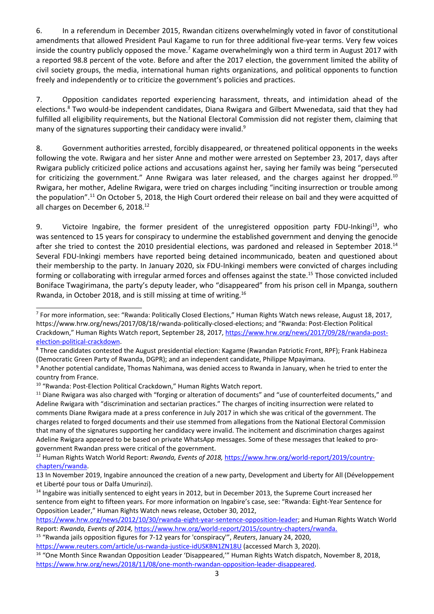6. In <sup>a</sup> referendum in December 2015, Rwandan citizens overwhelmingly voted in favor of constitutional amendments that allowed President Paul Kagame to run for three additional five-year terms. Very few voices inside the country publicly opposed the move.<sup>7</sup> Kagame overwhelmingly won a third term in August 2017 with <sup>a</sup> reported 98.8 percent of the vote. Before and after the 2017 election, the government limited the ability of civil society groups, the media, international human rights organizations, and political opponents to function freely and independently or to criticize the government'<sup>s</sup> policies and practices.

7. Opposition candidates reported experiencing harassment, threats, and intimidation ahead of the elections.<sup>8</sup> Two would-be independent candidates, Diana Rwigara and Gilbert Mwenedata, said that they had fulfilled all eligibility requirements, but the National Electoral Commission did not register them, claiming that many of the signatures supporting their candidacy were invalid.<sup>9</sup>

8. Government authorities arrested, forcibly disappeared, or threatened political opponents in the weeks following the vote. Rwigara and her sister Anne and mother were arrested on September 23, 2017, days after Rwigara publicly criticized police actions and accusations against her, saying her family was being "persecuted for criticizing the government." Anne Rwigara was later released, and the charges against her dropped.<sup>10</sup> Rwigara, her mother, Adeline Rwigara, were tried on charges including "inciting insurrection or trouble among the population".<sup>11</sup> On October 5, 2018, the High Court ordered their release on bail and they were acquitted of all charges on December 6, 2018.<sup>12</sup>

9. Cictoire Ingabire, the former president of the unregistered opposition party FDU-Inkingi<sup>13</sup>, who was sentenced to 15 years for conspiracy to undermine the established government and denying the genocide after she tried to contest the 2010 presidential elections, was pardoned and released in September 2018. $^{14}$ Several FDU-Inkingi members have reported being detained incommunicado, beaten and questioned about their membership to the party. In January 2020, six FDU-Inkingi members were convicted of charges including forming or collaborating with irregular armed forces and offenses against the state.<sup>15</sup> Those convicted included Boniface Twagirimana, the party'<sup>s</sup> deputy leader, who "disappeared" from his prison cell in Mpanga, southern Rwanda, in October 2018, and is still missing at time of writing.<sup>16</sup>

12 Human Rights Watch World Report: *Rwanda, Events of 2018,* [https://www.hrw.org/world-report/2019/country](https://www.hrw.org/world-report/2019/country-chapters/rwanda)[chapters/rwanda](https://www.hrw.org/world-report/2019/country-chapters/rwanda).

<sup>&</sup>lt;sup>7</sup> For more information, see: "Rwanda: Politically Closed Elections," Human Rights Watch news release, August 18, 2017, https://www.hrw.org/news/2017/08/18/rwanda-politically-closed-elections; and "Rwanda: Post-Election Political Crackdown," Human Rights Watch report, September 28, 2017, [https://www.hrw.org/news/2017/09/28/rwanda-post](https://www.hrw.org/news/2017/09/28/rwanda-post-election-political-crackdown)[election-political-crackdown](https://www.hrw.org/news/2017/09/28/rwanda-post-election-political-crackdown).

<sup>&</sup>lt;sup>8</sup> Three candidates contested the August presidential election: Kagame (Rwandan Patriotic Front, RPF); Frank Habineza (Democratic Green Party of Rwanda, DGPR); and an independent candidate, Philippe Mpayimana.

<sup>9</sup> Another potential candidate, Thomas Nahimana, was denied access to Rwanda in January, when he tried to enter the country from France.

<sup>&</sup>lt;sup>10</sup> "Rwanda: Post-Election Political Crackdown," Human Rights Watch report.

<sup>&</sup>lt;sup>11</sup> Diane Rwigara was also charged with "forging or alteration of documents" and "use of counterfeited documents," and Adeline Rwigara with "discrimination and sectarian practices." The charges of inciting insurrection were related to comments Diane Rwigara made at <sup>a</sup> press conference in July 2017 in which she was critical of the government. The charges related to forged documents and their use stemmed from allegations from the National Electoral Commission that many of the signatures supporting her candidacy were invalid. The incitement and discrimination charges against Adeline Rwigara appeared to be based on private WhatsApp messages. Some of these messages that leaked to progovernment Rwandan press were critical of the government.

<sup>13</sup> In November 2019, Ingabire announced the creation of <sup>a</sup> new party, Development and Liberty for All (Développement et Liberté pour tous or Dalfa Umurinzi).

<sup>&</sup>lt;sup>14</sup> Ingabire was initially sentenced to eight years in 2012, but in December 2013, the Supreme Court increased her sentence from eight to fifteen years. For more information on Ingabire'<sup>s</sup> case, see: "Rwanda: Eight-Year Sentence for Opposition Leader," Human Rights Watch news release, October 30, 2012,

<https://www.hrw.org/news/2012/10/30/rwanda-eight-year-sentence-opposition-leader>; and Human Rights Watch World Report: *Rwanda, Events of 2014,* <https://www.hrw.org/world-report/2015/country-chapters/rwanda>.

<sup>&</sup>lt;sup>15</sup> "Rwanda jails opposition figures for 7-12 years for 'conspiracy'", *Reuters*, January 24, 2020, <https://www.reuters.com/article/us-rwanda-justice-idUSKBN1ZN18U> (accessed March 3, 2020).

<sup>&</sup>lt;sup>16</sup> "One Month Since Rwandan Opposition Leader 'Disappeared,'" Human Rights Watch dispatch, November 8, 2018, <https://www.hrw.org/news/2018/11/08/one-month-rwandan-opposition-leader-disappeared>.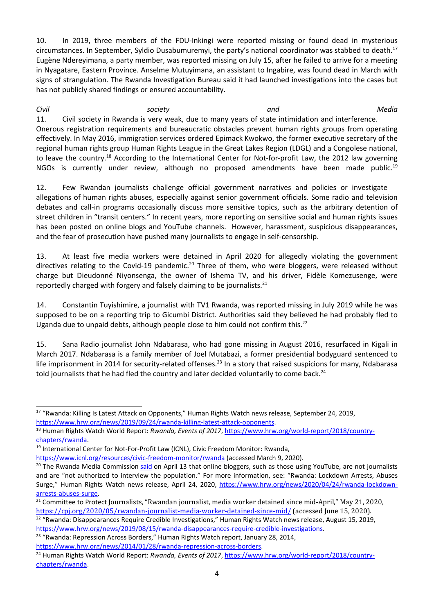10. In 2019, three members of the FDU-Inkingi were reported missing or found dead in mysterious circumstances. In September, Syldio Dusabumuremyi, the party's national coordinator was stabbed to death.<sup>17</sup> Eugène Ndereyimana, <sup>a</sup> party member, was reported missing on July 15, after he failed to arrive for <sup>a</sup> meeting in Nyagatare, Eastern Province. Anselme Mutuyimana, an assistant to Ingabire, was found dead in March with signs of strangulation. The Rwanda Investigation Bureau said it had launched investigations into the cases but has not publicly shared findings or ensured accountability.

*Civil society and Media* 11. Civil society in Rwanda is very weak, due to many years of state intimidation and interference. Onerous registration requirements and bureaucratic obstacles prevent human rights groups from operating effectively. In May 2016, immigration services ordered Epimack Kwokwo, the former executive secretary of the regional human rights group Human Rights League in the Great Lakes Region (LDGL) and <sup>a</sup> Congolese national, to leave the country.<sup>18</sup> According to the International Center for Not-for-profit Law, the 2012 law governing NGOs is currently under review, although no proposed amendments have been made public. $^{19}$ 

12. Few Rwandan journalists challenge official government narratives and policies or investigate allegations of human rights abuses, especially against senior government officials. Some radio and television debates and call-in programs occasionally discuss more sensitive topics, such as the arbitrary detention of street children in "transit centers." In recent years, more reporting on sensitive social and human rights issues has been posted on online blogs and YouTube channels. However, harassment, suspicious disappearances, and the fear of prosecution have pushed many journalists to engage in self-censorship.

13. At least five media workers were detained in April 2020 for allegedly violating the government directives relating to the Covid-19 pandemic.<sup>20</sup> Three of them, who were bloggers, were released without charge but Dieudonné Niyonsenga, the owner of Ishema TV, and his driver, Fidèle Komezusenge, were reportedly charged with forgery and falsely claiming to be journalists.<sup>21</sup>

14. Constantin Tuyishimire, <sup>a</sup> journalist with TV1 Rwanda, was reported missing in July 2019 while he was supposed to be on <sup>a</sup> reporting trip to Gicumbi District. Authorities said they believed he had probably fled to Uganda due to unpaid debts, although people close to him could not confirm this.<sup>22</sup>

15. Sana Radio journalist John Ndabarasa, who had gone missing in August 2016, resurfaced in Kigali in March 2017. Ndabarasa is <sup>a</sup> family member of Joel Mutabazi, <sup>a</sup> former presidential bodyguard sentenced to life imprisonment in 2014 for security-related offenses.<sup>23</sup> In a story that raised suspicions for many, Ndabarasa told journalists that he had fled the country and later decided voluntarily to come back.<sup>24</sup>

 $^{17}$  "Rwanda: Killing Is Latest Attack on Opponents," Human Rights Watch news release, September 24, 2019, <https://www.hrw.org/news/2019/09/24/rwanda-killing-latest-attack-opponents>.

<sup>18</sup> Human Rights Watch World Report: *Rwanda, Events of 2017*, [https://www.hrw.org/world-report/2018/country](https://www.hrw.org/world-report/2018/country-chapters/rwanda)[chapters/rwanda](https://www.hrw.org/world-report/2018/country-chapters/rwanda).

<sup>&</sup>lt;sup>19</sup> International Center for Not-For-Profit Law (ICNL), Civic Freedom Monitor: Rwanda,

<https://www.icnl.org/resources/civic-freedom-monitor/rwanda> (accessed March 9, 2020).

<sup>&</sup>lt;sup>20</sup> The Rwanda Media Commission [said](https://twitter.com/RMC_Rwanda/status/1249730987703009280) on April 13 that online bloggers, such as those using YouTube, are not journalists and are "not authorized to interview the population." For more information, see: "Rwanda: Lockdown Arrests, Abuses Surge," Human Rights Watch news release, April 24, 2020, [https://www.hrw.org/news/2020/04/24/rwanda-lockdown](https://www.hrw.org/news/2020/04/24/rwanda-lockdown-arrests-abuses-surge)[arrests-abuses-surge](https://www.hrw.org/news/2020/04/24/rwanda-lockdown-arrests-abuses-surge).

<sup>&</sup>lt;sup>21</sup> Committee to Protect Journalists, "Rwandan journalist, media worker detained since mid-April," May 21, 2020, <https://cpj.org/2020/05/rwandan-journalist-media-worker-detained-since-mid/> (accessed June 15, 2020).

<sup>&</sup>lt;sup>22</sup> "Rwanda: Disappearances Require Credible Investigations," Human Rights Watch news release, August 15, 2019, <https://www.hrw.org/news/2019/08/15/rwanda-disappearances-require-credible-investigations>.

 $^{23}$  "Rwanda: Repression Across Borders," Human Rights Watch report, January 28, 2014,

<https://www.hrw.org/news/2014/01/28/rwanda-repression-across-borders>.

<sup>24</sup> Human Rights Watch World Report: *Rwanda, Events of 2017*, [https://www.hrw.org/world-report/2018/country](https://www.hrw.org/world-report/2018/country-chapters/rwanda)[chapters/rwanda](https://www.hrw.org/world-report/2018/country-chapters/rwanda).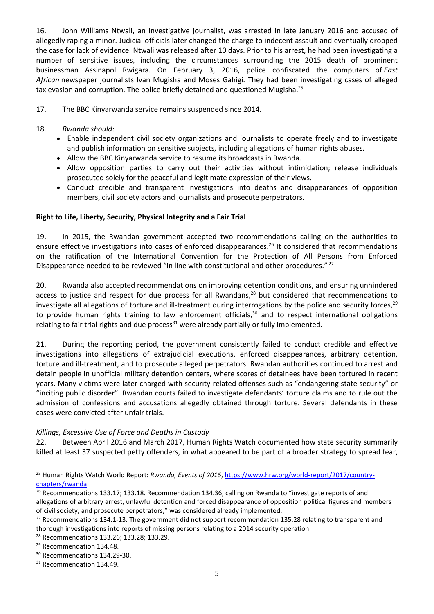16. John Williams Ntwali, an investigative journalist, was arrested in late January 2016 and accused of allegedly raping <sup>a</sup> minor. Judicial officials later changed the charge to indecent assault and eventually dropped the case for lack of evidence. Ntwali was released after 10 days. Prior to his arrest, he had been investigating <sup>a</sup> number of sensitive issues, including the circumstances surrounding the 2015 death of prominent businessman Assinapol Rwigara. On February 3, 2016, police confiscated the computers of *East African* newspaper journalists Ivan Mugisha and Moses Gahigi. They had been investigating cases of alleged tax evasion and corruption. The police briefly detained and questioned Mugisha.<sup>25</sup>

17. The BBC Kinyarwanda service remains suspended since 2014.

### 18. *Rwanda should*:

- Enable independent civil society organizations and journalists to operate freely and to investigate and publish information on sensitive subjects, including allegations of human rights abuses.
- Allow the BBC Kinyarwanda service to resume its broadcasts in Rwanda.
- Allow opposition parties to carry out their activities without intimidation; release individuals prosecuted solely for the peaceful and legitimate expression of their views.
- Conduct credible and transparent investigations into deaths and disappearances of opposition members, civil society actors and journalists and prosecute perpetrators.

### **Right to Life, Liberty, Security, Physical Integrity and <sup>a</sup> Fair Trial**

19. In 2015, the Rwandan government accepted two recommendations calling on the authorities to ensure effective investigations into cases of enforced disappearances.<sup>26</sup> It considered that recommendations on the ratification of the International Convention for the Protection of All Persons from Enforced Disappearance needed to be reviewed "in line with constitutional and other procedures." <sup>27</sup>

20. Rwanda also accepted recommendations on improving detention conditions, and ensuring unhindered access to justice and respect for due process for all Rwandans, $^{28}$  but considered that recommendations to investigate all allegations of torture and ill-treatment during interrogations by the police and security forces,<sup>29</sup> to provide human rights training to law enforcement officials,<sup>30</sup> and to respect international obligations relating to fair trial rights and due process<sup>31</sup> were already partially or fully implemented.

21. During the reporting period, the government consistently failed to conduct credible and effective investigations into allegations of extrajudicial executions, enforced disappearances, arbitrary detention, torture and ill-treatment, and to prosecute alleged perpetrators. Rwandan authorities continued to arrest and detain people in unofficial military detention centers, where scores of detainees have been tortured in recent years. Many victims were later charged with security-related offenses such as "endangering state security" or "inciting public disorder". Rwandan courts failed to investigate defendants' torture claims and to rule out the admission of confessions and accusations allegedly obtained through torture. Several defendants in these cases were convicted after unfair trials.

#### *Killings, Excessive Use of Force and Deaths in Custody*

22. Between April 2016 and March 2017, Human Rights Watch documented how state security summarily killed at least 37 suspected petty offenders, in what appeared to be part of <sup>a</sup> broader strategy to spread fear,

<sup>25</sup> Human Rights Watch World Report: *Rwanda, Events of 2016*, [https://www.hrw.org/world-report/2017/country](https://www.hrw.org/world-report/2017/country-chapters/rwanda)[chapters/rwanda](https://www.hrw.org/world-report/2017/country-chapters/rwanda).

<sup>&</sup>lt;sup>26</sup> Recommendations 133.17; 133.18. Recommendation 134.36, calling on Rwanda to "investigate reports of and allegations of arbitrary arrest, unlawful detention and forced disappearance of opposition political figures and members of civil society, and prosecute perpetrators," was considered already implemented.

<sup>&</sup>lt;sup>27</sup> Recommendations 134.1-13. The government did not support recommendation 135.28 relating to transparent and thorough investigations into reports of missing persons relating to <sup>a</sup> 2014 security operation.

<sup>28</sup> Recommendations 133.26; 133.28; 133.29.

<sup>&</sup>lt;sup>29</sup> Recommendation 134.48.

<sup>&</sup>lt;sup>30</sup> Recommendations 134.29-30.

<sup>&</sup>lt;sup>31</sup> Recommendation 134.49.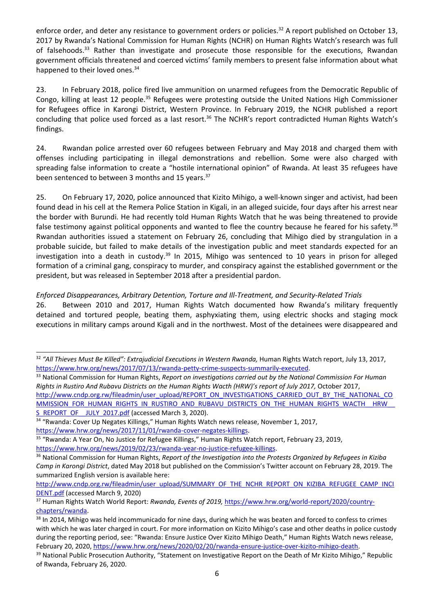enforce order, and deter any resistance to government orders or policies.<sup>32</sup> A report published on October 13, 2017 by Rwanda'<sup>s</sup> National Commission for Human Rights (NCHR) on Human Rights Watch'<sup>s</sup> research was full of falsehoods.<sup>33</sup> Rather than investigate and prosecute those responsible for the executions, Rwandan government officials threatened and coerced victims' family members to present false information about what happened to their loved ones.<sup>34</sup>

23. In February 2018, police fired live ammunition on unarmed refugees from the Democratic Republic of Congo, killing at least 12 people.<sup>35</sup> Refugees were protesting outside the United Nations High Commissioner for Refugees office in Karongi District, Western Province. In February 2019, the NCHR published <sup>a</sup> report concluding that police used forced as a last resort.<sup>36</sup> The NCHR's report contradicted Human Rights Watch's findings.

24. Rwandan police arrested over 60 refugees between February and May 2018 and charged them with offenses including participating in illegal demonstrations and rebellion. Some were also charged with spreading false information to create <sup>a</sup> "hostile international opinion" of Rwanda. At least 35 refugees have been sentenced to between 3 months and 15 years.<sup>37</sup>

25. On February 17, 2020, police announced that Kizito Mihigo, <sup>a</sup> well-known singer and activist, had been found dead in his cell at the Remera Police Station in Kigali, in an alleged suicide, four days after his arrest near the border with Burundi. He had recently told Human Rights Watch that he was being threatened to provide false testimony against political opponents and wanted to flee the country because he feared for his safety.<sup>38</sup> Rwandan authorities issued <sup>a</sup> statement on February 26, concluding that Mihigo died by strangulation in <sup>a</sup> probable suicide, but failed to make details of the investigation public and meet standards expected for an investigation into a death in custody.<sup>39</sup> In 2015, Mihigo was sentenced to 10 years in prison for alleged formation of <sup>a</sup> criminal gang, conspiracy to murder, and conspiracy against the established government or the president, but was released in September 2018 after <sup>a</sup> presidential pardon.

## *Enforced Disappearances, Arbitrary Detention, Torture and Ill-Treatment, and Security-Related Trials*

26. Between 2010 and 2017, Human Rights Watch documented how Rwanda'<sup>s</sup> military frequently detained and tortured people, beating them, asphyxiating them, using electric shocks and staging mock executions in military camps around Kigali and in the northwest. Most of the detainees were disappeared and

<sup>32</sup> *"All Thieves Must Be Killed": Extrajudicial Executions in Western Rwanda,* Human Rights Watch report, July 13, 2017, <https://www.hrw.org/news/2017/07/13/rwanda-petty-crime-suspects-summarily-executed>.

<sup>33</sup> National Commission for Human Rights, *Report on investigations carried out by the National Commission For Human* Rights in Rustiro And Rubavu Districts on the Human Rights Wacth (HRW)'s report of July 2017, October 2017, [http://www.cndp.org.rw/fileadmin/user\\_upload/REPORT\\_ON\\_INVESTIGATIONS\\_CARRIED\\_OUT\\_BY\\_THE\\_NATIONAL\\_CO](http://www.cndp.org.rw/fileadmin/user_upload/REPORT_ON_INVESTIGATIONS_CARRIED_OUT_BY_THE_NATIONAL_COMMISSION_FOR_HUMAN_RIGHTS_IN_RUSTIRO_AND_RUBAVU_DISTRICTS_ON_THE_HUMAN_RIGHTS_WACTH__HRW__S_REPORT_OF__JULY_2017.pdf) MMISSION\_FOR\_HUMAN\_RIGHTS\_IN\_RUSTIRO\_AND\_RUBAVU\_DISTRICTS\_ON\_THE\_HUMAN\_RIGHTS\_WACTH\_\_HRW [S\\_REPORT\\_OF\\_\\_JULY\\_2017.pdf](http://www.cndp.org.rw/fileadmin/user_upload/REPORT_ON_INVESTIGATIONS_CARRIED_OUT_BY_THE_NATIONAL_COMMISSION_FOR_HUMAN_RIGHTS_IN_RUSTIRO_AND_RUBAVU_DISTRICTS_ON_THE_HUMAN_RIGHTS_WACTH__HRW__S_REPORT_OF__JULY_2017.pdf) (accessed March 3, 2020).

<sup>&</sup>lt;sup>34</sup> "Rwanda: Cover Up Negates Killings," Human Rights Watch news release, November 1, 2017, <https://www.hrw.org/news/2017/11/01/rwanda-cover-negates-killings>.

<sup>&</sup>lt;sup>35</sup> "Rwanda: A Year On, No Justice for Refugee Killings," Human Rights Watch report, February 23, 2019, <https://www.hrw.org/news/2019/02/23/rwanda-year-no-justice-refugee-killings>.

<sup>36</sup> National Commission for Human Rights, *Report of the Investigation into the Protests Organized by Refugees in Kiziba Camp in Karongi District*, dated May 2018 but published on the Commission'<sup>s</sup> Twitter account on February 28, 2019. The summarized English version is available here:

[http://www.cndp.org.rw/fileadmin/user\\_upload/SUMMARY\\_OF\\_THE\\_NCHR\\_REPORT\\_ON\\_KIZIBA\\_REFUGEE\\_CAMP\\_INCI](http://www.cndp.org.rw/fileadmin/user_upload/SUMMARY_OF_THE_NCHR_REPORT_ON_KIZIBA_REFUGEE_CAMP_INCIDENT.pdf) [DENT.pdf](http://www.cndp.org.rw/fileadmin/user_upload/SUMMARY_OF_THE_NCHR_REPORT_ON_KIZIBA_REFUGEE_CAMP_INCIDENT.pdf) (accessed March 9, 2020)

<sup>37</sup> Human Rights Watch World Report: *Rwanda, Events of 2019,* [https://www.hrw.org/world-report/2020/country](https://www.hrw.org/world-report/2020/country-chapters/rwanda)[chapters/rwanda](https://www.hrw.org/world-report/2020/country-chapters/rwanda).

<sup>&</sup>lt;sup>38</sup> In 2014, Mihigo was held incommunicado for nine days, during which he was beaten and forced to confess to crimes with which he was later charged in court. For more information on Kizito Mihigo'<sup>s</sup> case and other deaths in police custody during the reporting period, see: "Rwanda: Ensure Justice Over Kizito Mihigo Death," Human Rights Watch news release, February 20, 2020, <https://www.hrw.org/news/2020/02/20/rwanda-ensure-justice-over-kizito-mihigo-death>.

<sup>&</sup>lt;sup>39</sup> National Public Prosecution Authority, "Statement on Investigative Report on the Death of Mr Kizito Mihigo," Republic of Rwanda, February 26, 2020.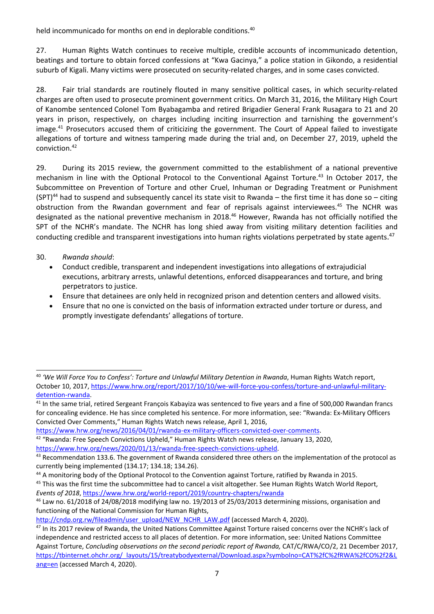held incommunicado for months on end in deplorable conditions.<sup>40</sup>

27. Human Rights Watch continues to receive multiple, credible accounts of incommunicado detention, beatings and torture to obtain forced confessions at "Kwa Gacinya," <sup>a</sup> police station in Gikondo, <sup>a</sup> residential suburb of Kigali. Many victims were prosecuted on security-related charges, and in some cases convicted.

28. Fair trial standards are routinely flouted in many sensitive political cases, in which security-related charges are often used to prosecute prominent government critics. On March 31, 2016, the Military High Court of Kanombe sentenced Colonel Tom Byabagamba and retired Brigadier General Frank Rusagara to 21 and 20 years in prison, respectively, on charges including inciting insurrection and tarnishing the government'<sup>s</sup> image.<sup>41</sup> Prosecutors accused them of criticizing the government. The Court of Appeal failed to investigate allegations of torture and witness tampering made during the trial and, on December 27, 2019, upheld the conviction. 42

29. During its 2015 review, the government committed to the establishment of <sup>a</sup> national preventive mechanism in line with the Optional Protocol to the Conventional Against Torture. 43 In October 2017, the Subcommittee on Prevention of Torture and other Cruel, Inhuman or Degrading Treatment or Punishment (SPT)<sup>44</sup> had to suspend and subsequently cancel its state visit to Rwanda – the first time it has done so – citing obstruction from the Rwandan government and fear of reprisals against interviewees.<sup>45</sup> The NCHR was designated as the national preventive mechanism in 2018.<sup>46</sup> However, Rwanda has not officially notified the SPT of the NCHR'<sup>s</sup> mandate. The NCHR has long shied away from visiting military detention facilities and conducting credible and transparent investigations into human rights violations perpetrated by state agents.<sup>47</sup>

## 30. *Rwanda should*:

- . Conduct credible, transparent and independent investigations into allegations of extrajudicial executions, arbitrary arrests, unlawful detentions, enforced disappearances and torture, and bring perpetrators to justice.
- . Ensure that detainees are only held in recognized prison and detention centers and allowed visits.
- . Ensure that no one is convicted on the basis of information extracted under torture or duress, and promptly investigate defendants' allegations of torture.

<https://www.hrw.org/news/2020/01/13/rwanda-free-speech-convictions-upheld>.

<sup>40</sup> *'We Will Force You to Confess': Torture and Unlawful Military Detention in Rwanda*, Human Rights Watch report, October 10, 2017, [https://www.hrw.org/report/2017/10/10/we-will-force-you-confess/torture-and-unlawful-military](https://www.hrw.org/report/2017/10/10/we-will-force-you-confess/torture-and-unlawful-military-detention-rwanda)[detention-rwanda](https://www.hrw.org/report/2017/10/10/we-will-force-you-confess/torture-and-unlawful-military-detention-rwanda).

 $^{41}$  In the same trial, retired Sergeant François Kabayiza was sentenced to five years and a fine of 500,000 Rwandan francs for concealing evidence. He has since completed his sentence. For more information, see: "Rwanda: Ex-Military Officers Convicted Over Comments," Human Rights Watch news release, April 1, 2016,

<https://www.hrw.org/news/2016/04/01/rwanda-ex-military-officers-convicted-over-comments>.

 $^{42}$  "Rwanda: Free Speech Convictions Upheld," Human Rights Watch news release, January 13, 2020,

 $^{43}$  Recommendation 133.6. The government of Rwanda considered three others on the implementation of the protocol as currently being implemented (134.17; 134.18; 134.26).

<sup>&</sup>lt;sup>44</sup> A monitoring body of the Optional Protocol to the Convention against Torture, ratified by Rwanda in 2015.

<sup>&</sup>lt;sup>45</sup> This was the first time the subcommittee had to cancel a visit altogether. See Human Rights Watch World Report, *Events of 2018*, <https://www.hrw.org/world-report/2019/country-chapters/rwanda>

 $^{46}$  Law no. 61/2018 of 24/08/2018 modifying law no. 19/2013 of 25/03/2013 determining missions, organisation and functioning of the National Commission for Human Rights,

[http://cndp.org.rw/fileadmin/user\\_upload/NEW\\_NCHR\\_LAW.pdf](http://cndp.org.rw/fileadmin/user_upload/NEW_NCHR_LAW.pdf) (accessed March 4, 2020).

<sup>&</sup>lt;sup>47</sup> In its 2017 review of Rwanda, the United Nations Committee Against Torture raised concerns over the NCHR's lack of independence and restricted access to all places of detention. For more information, see: United Nations Committee Against Torture, *Concluding observations on the second periodic report of Rwanda,* CAT/C/RWA/CO/2, 21 December 2017, [https://tbinternet.ohchr.org/\\_layouts/15/treatybodyexternal/Download.aspx?symbolno=CAT%2fC%2fRWA%2fCO%2f2&L](https://tbinternet.ohchr.org/_layouts/15/treatybodyexternal/Download.aspx?symbolno=CAT%2fC%2fRWA%2fCO%2f2&Lang=en) [ang=en](https://tbinternet.ohchr.org/_layouts/15/treatybodyexternal/Download.aspx?symbolno=CAT%2fC%2fRWA%2fCO%2f2&Lang=en) (accessed March 4, 2020).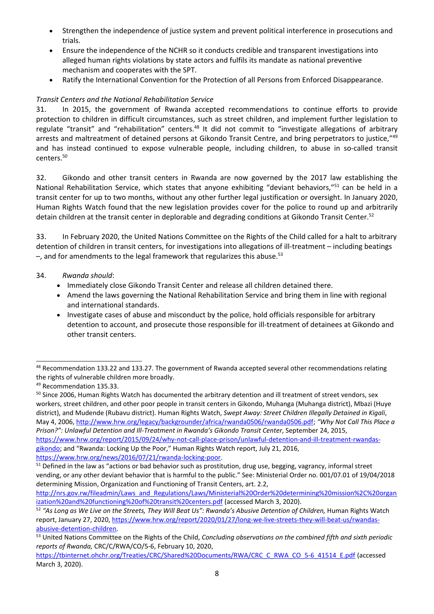- . Strengthen the independence of justice system and prevent political interference in prosecutions and trials.
- . Ensure the independence of the NCHR so it conducts credible and transparent investigations into alleged human rights violations by state actors and fulfils its mandate as national preventive mechanism and cooperates with the SPT.
- . Ratify the International Convention for the Protection of all Persons from Enforced Disappearance.

## *Transit Centers and the National Rehabilitation Service*

31. In 2015, the government of Rwanda accepted recommendations to continue efforts to provide protection to children in difficult circumstances, such as street children, and implement further legislation to regulate "transit" and "rehabilitation" centers.<sup>48</sup> It did not commit to "investigate allegations of arbitrary arrests and maltreatment of detained persons at Gikondo Transit Centre, and bring perpetrators to justice,"<sup>49</sup> and has instead continued to expose vulnerable people, including children, to abuse in so-called transit centers.<sup>50</sup>

32. Gikondo and other transit centers in Rwanda are now governed by the 2017 law establishing the National Rehabilitation Service, which states that anyone exhibiting "deviant behaviors,"<sup>51</sup> can be held in a transit center for up to two months, without any other further legal justification or oversight. In January 2020, Human Rights Watch found that the new legislation provides cover for the police to round up and arbitrarily detain children at the transit center in deplorable and degrading conditions at Gikondo Transit Center.<sup>52</sup>

33. In February 2020, the United Nations Committee on the Rights of the Child called for <sup>a</sup> halt to arbitrary detention of children in transit centers, for investigations into allegations of ill-treatment – including beatings -, and for amendments to the legal framework that regularizes this abuse.<sup>53</sup>

## 34. *Rwanda should*:

- Immediately close Gikondo Transit Center and release all children detained there.
- Amend the laws governing the National Rehabilitation Service and bring them in line with regional and international standards.
- Investigate cases of abuse and misconduct by the police, hold officials responsible for arbitrary detention to account, and prosecute those responsible for ill-treatment of detainees at Gikondo and other transit centers.

<sup>50</sup> Since 2006, Human Rights Watch has documented the arbitrary detention and ill treatment of street vendors, sex workers, street children, and other poor people in transit centers in Gikondo, Muhanga (Muhanga district), Mbazi (Huye district), and Mudende (Rubavu district). Human Rights Watch, *Swept Away: Street Children Illegally Detained in Kigali*, May 4, 2006, <http://www.hrw.org/legacy/backgrounder/africa/rwanda0506/rwanda0506.pdf>; *"Why Not Call This Place <sup>a</sup> Prison?": Unlawful Detention and Ill-Treatment in Rwanda'<sup>s</sup> Gikondo Transit Center*, September 24, 2015, [https://www.hrw.org/report/2015/09/24/why-not-call-place-prison/unlawful-detention-and-ill-treatment-rwandas](https://www.hrw.org/report/2015/09/24/why-not-call-place-prison/unlawful-detention-and-ill-treatment-rwandas-gikondo)[gikondo](https://www.hrw.org/report/2015/09/24/why-not-call-place-prison/unlawful-detention-and-ill-treatment-rwandas-gikondo); and "Rwanda: Locking Up the Poor," Human Rights Watch report, July 21, 2016,

<https://www.hrw.org/news/2016/07/21/rwanda-locking-poor>.

 $^{48}$  Recommendation 133.22 and 133.27. The government of Rwanda accepted several other recommendations relating the rights of vulnerable children more broadly.

<sup>&</sup>lt;sup>49</sup> Recommendation 135.33.

<sup>&</sup>lt;sup>51</sup> Defined in the law as "actions or bad behavior such as prostitution, drug use, begging, vagrancy, informal street vending, or any other deviant behavior that is harmful to the public." See: Ministerial Order no. 001/07.01 of 19/04/2018 determining Mission, Organization and Functioning of Transit Centers, art. 2.2,

[http://nrs.gov.rw/fileadmin/Laws\\_and\\_Regulations/Laws/Ministerial%20Order%20determining%20mission%2C%20organ](http://nrs.gov.rw/fileadmin/Laws_and_Regulations/Laws/Ministerial%20Order%20determining%20mission%2C%20organization%20and%20functioning%20of%20transit%20centers.pdf) [ization%20and%20functioning%20of%20transit%20centers.pdf](http://nrs.gov.rw/fileadmin/Laws_and_Regulations/Laws/Ministerial%20Order%20determining%20mission%2C%20organization%20and%20functioning%20of%20transit%20centers.pdf) (accessed March 3, 2020).

 $^{52}$  "As Long as We Live on the Streets, They Will Beat Us": Rwanda's Abusive Detention of Children, Human Rights Watch report, January 27, 2020, [https://www.hrw.org/report/2020/01/27/long-we-live-streets-they-will-beat-us/rwandas](https://www.hrw.org/report/2020/01/27/long-we-live-streets-they-will-beat-us/rwandas-abusive-detention-children)[abusive-detention-children](https://www.hrw.org/report/2020/01/27/long-we-live-streets-they-will-beat-us/rwandas-abusive-detention-children).

<sup>53</sup> United Nations Committee on the Rights of the Child, *Concluding observations on the combined fifth and sixth periodic reports of Rwanda,* CRC/C/RWA/CO/5-6, February 10, 2020,

[https://tbinternet.ohchr.org/Treaties/CRC/Shared%20Documents/RWA/CRC\\_C\\_RWA\\_CO\\_5-6\\_41514\\_E.pdf](https://tbinternet.ohchr.org/Treaties/CRC/Shared%20Documents/RWA/CRC_C_RWA_CO_5-6_41514_E.pdf) (accessed March 3, 2020).